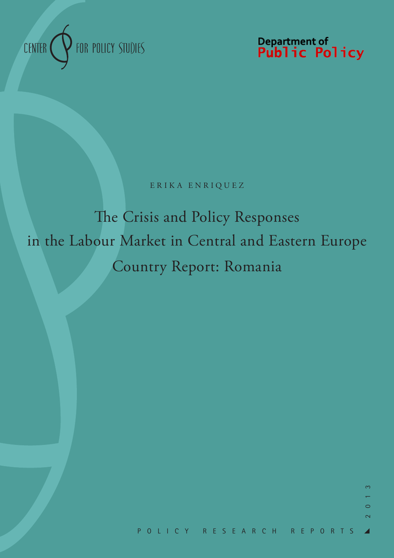

Department of<br>**Public Policy** 

ERIKA ENRIQUEZ

The Crisis and Policy Responses in the Labour Market in Central and Eastern Europe Country Report: Romania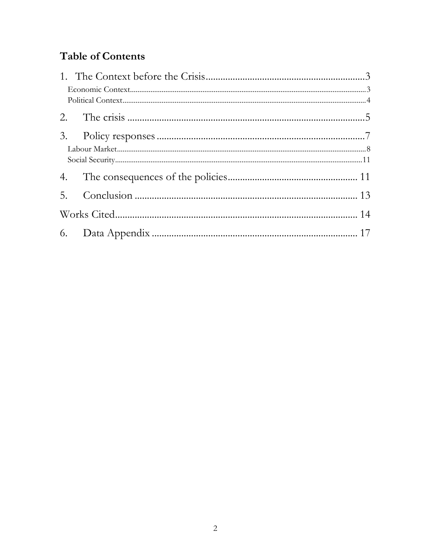# **Table of Contents**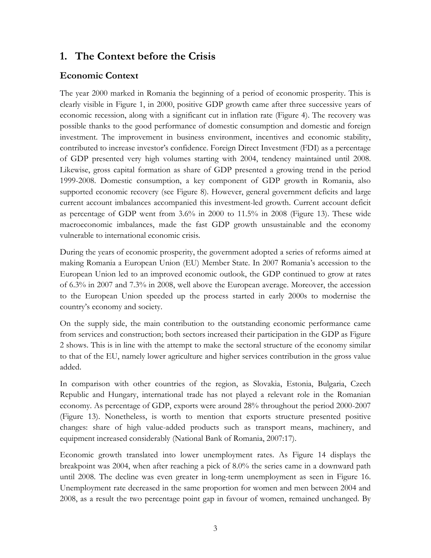### **1. The Context before the Crisis**

#### **Economic Context**

The year 2000 marked in Romania the beginning of a period of economic prosperity. This is clearly visible in Figure 1, in 2000, positive GDP growth came after three successive years of economic recession, along with a significant cut in inflation rate (Figure 4). The recovery was possible thanks to the good performance of domestic consumption and domestic and foreign investment. The improvement in business environment, incentives and economic stability, contributed to increase investor's confidence. Foreign Direct Investment (FDI) as a percentage of GDP presented very high volumes starting with 2004, tendency maintained until 2008. Likewise, gross capital formation as share of GDP presented a growing trend in the period 1999-2008. Domestic consumption, a key component of GDP growth in Romania, also supported economic recovery (see Figure 8). However, general government deficits and large current account imbalances accompanied this investment-led growth. Current account deficit as percentage of GDP went from 3.6% in 2000 to 11.5% in 2008 (Figure 13). These wide macroeconomic imbalances, made the fast GDP growth unsustainable and the economy vulnerable to international economic crisis.

During the years of economic prosperity, the government adopted a series of reforms aimed at making Romania a European Union (EU) Member State. In 2007 Romania's accession to the European Union led to an improved economic outlook, the GDP continued to grow at rates of 6.3% in 2007 and 7.3% in 2008, well above the European average. Moreover, the accession to the European Union speeded up the process started in early 2000s to modernise the country's economy and society.

On the supply side, the main contribution to the outstanding economic performance came from services and construction; both sectors increased their participation in the GDP as Figure 2 shows. This is in line with the attempt to make the sectoral structure of the economy similar to that of the EU, namely lower agriculture and higher services contribution in the gross value added.

In comparison with other countries of the region, as Slovakia, Estonia, Bulgaria, Czech Republic and Hungary, international trade has not played a relevant role in the Romanian economy. As percentage of GDP, exports were around 28% throughout the period 2000-2007 (Figure 13). Nonetheless, is worth to mention that exports structure presented positive changes: share of high value-added products such as transport means, machinery, and equipment increased considerably (National Bank of Romania, 2007:17).

Economic growth translated into lower unemployment rates. As Figure 14 displays the breakpoint was 2004, when after reaching a pick of 8.0% the series came in a downward path until 2008. The decline was even greater in long-term unemployment as seen in Figure 16. Unemployment rate decreased in the same proportion for women and men between 2004 and 2008, as a result the two percentage point gap in favour of women, remained unchanged. By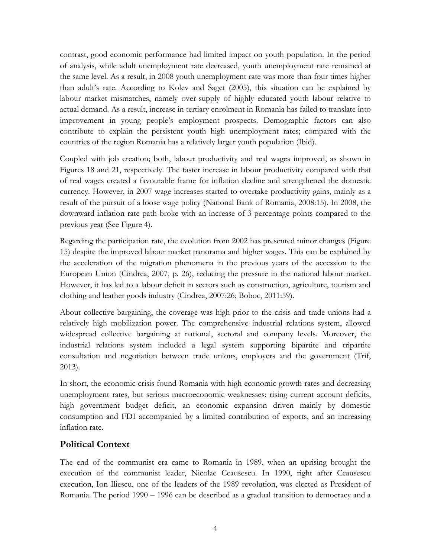contrast, good economic performance had limited impact on youth population. In the period of analysis, while adult unemployment rate decreased, youth unemployment rate remained at the same level. As a result, in 2008 youth unemployment rate was more than four times higher than adult's rate. According to Kolev and Saget (2005), this situation can be explained by labour market mismatches, namely over-supply of highly educated youth labour relative to actual demand. As a result, increase in tertiary enrolment in Romania has failed to translate into improvement in young people's employment prospects. Demographic factors can also contribute to explain the persistent youth high unemployment rates; compared with the countries of the region Romania has a relatively larger youth population (Ibid).

Coupled with job creation; both, labour productivity and real wages improved, as shown in Figures 18 and 21, respectively. The faster increase in labour productivity compared with that of real wages created a favourable frame for inflation decline and strengthened the domestic currency. However, in 2007 wage increases started to overtake productivity gains, mainly as a result of the pursuit of a loose wage policy (National Bank of Romania, 2008:15). In 2008, the downward inflation rate path broke with an increase of 3 percentage points compared to the previous year (See Figure 4).

Regarding the participation rate, the evolution from 2002 has presented minor changes (Figure 15) despite the improved labour market panorama and higher wages. This can be explained by the acceleration of the migration phenomena in the previous years of the accession to the European Union (Cindrea, 2007, p. 26), reducing the pressure in the national labour market. However, it has led to a labour deficit in sectors such as construction, agriculture, tourism and clothing and leather goods industry (Cindrea, 2007:26; Boboc, 2011:59).

About collective bargaining, the coverage was high prior to the crisis and trade unions had a relatively high mobilization power. The comprehensive industrial relations system, allowed widespread collective bargaining at national, sectoral and company levels. Moreover, the industrial relations system included a legal system supporting bipartite and tripartite consultation and negotiation between trade unions, employers and the government (Trif, 2013).

In short, the economic crisis found Romania with high economic growth rates and decreasing unemployment rates, but serious macroeconomic weaknesses: rising current account deficits, high government budget deficit, an economic expansion driven mainly by domestic consumption and FDI accompanied by a limited contribution of exports, and an increasing inflation rate.

#### **Political Context**

The end of the communist era came to Romania in 1989, when an uprising brought the execution of the communist leader, Nicolae Ceausescu. In 1990, right after Ceausescu execution, Ion Iliescu, one of the leaders of the 1989 revolution, was elected as President of Romania. The period 1990 – 1996 can be described as a gradual transition to democracy and a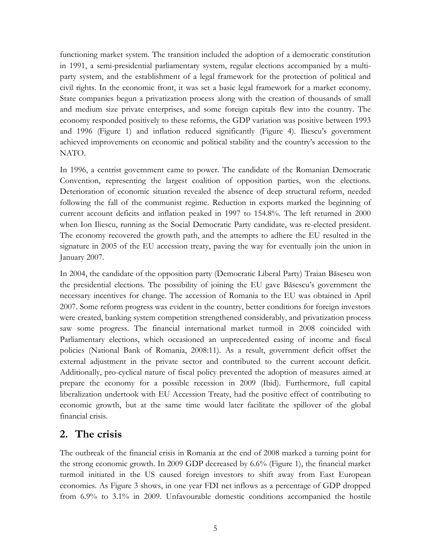functioning market system. The transition included the adoption of a democratic constitution in 1991, a semi-presidential parliamentary system, regular elections accompanied by a multiparty system, and the establishment of a legal framework for the protection of political and civil rights. In the economic front, it was set a basic legal framework for a market economy. State companies begun a privatization process along with the creation of thousands of small and medium size private enterprises, and some foreign capitals flew into the country. The economy responded positively to these reforms, the GDP variation was positive between 1993 and 1996 (Figure 1) and inflation reduced significantly (Figure 4). Iliescu's government achieved improvements on economic and political stability and the country's accession to the NATO.

In 1996, a centrist government came to power. The candidate of the Romanian Democratic Convention, representing the largest coalition of opposition parties, won the elections. Deterioration of economic situation revealed the absence of deep structural reform, needed following the fall of the communist regime. Reduction in exports marked the beginning of current account deficits and inflation peaked in 1997 to 154.8%. The left returned in 2000 when Ion Iliescu, running as the Social Democratic Party candidate, was re-elected president. The economy recovered the growth path, and the attempts to adhere the EU resulted in the signature in 2005 of the EU accession treaty, paving the way for eventually join the union in January 2007.

In 2004, the candidate of the opposition party (Democratic Liberal Party) Traian Băsescu won the presidential elections. The possibility of joining the EU gave Băsescu's government the necessary incentives for change. The accession of Romania to the EU was obtained in April 2007. Some reform progress was evident in the country, better conditions for foreign investors were created, banking system competition strengthened considerably, and privatization process saw some progress. The financial international market turmoil in 2008 coincided with Parliamentary elections, which occasioned an unprecedented easing of income and fiscal policies (National Bank of Romania, 2008:11). As a result, government deficit offset the external adjustment in the private sector and contributed to the current account deficit. Additionally, pro-cyclical nature of fiscal policy prevented the adoption of measures aimed at prepare the economy for a possible recession in 2009 (Ibid). Furthermore, full capital liberalization undertook with EU Accession Treaty, had the positive effect of contributing to economic growth, but at the same time would later facilitate the spillover of the global financial crisis.

#### **2. The crisis**

The outbreak of the financial crisis in Romania at the end of 2008 marked a turning point for the strong economic growth. In 2009 GDP decreased by 6.6% (Figure 1), the financial market turmoil initiated in the US caused foreign investors to shift away from East European economies. As Figure 3 shows, in one year FDI net inflows as a percentage of GDP dropped from 6.9% to 3.1% in 2009. Unfavourable domestic conditions accompanied the hostile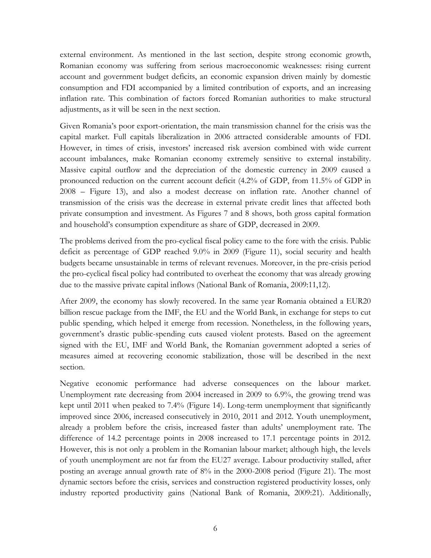external environment. As mentioned in the last section, despite strong economic growth, Romanian economy was suffering from serious macroeconomic weaknesses: rising current account and government budget deficits, an economic expansion driven mainly by domestic consumption and FDI accompanied by a limited contribution of exports, and an increasing inflation rate. This combination of factors forced Romanian authorities to make structural adjustments, as it will be seen in the next section.

Given Romania's poor export-orientation, the main transmission channel for the crisis was the capital market. Full capitals liberalization in 2006 attracted considerable amounts of FDI. However, in times of crisis, investors' increased risk aversion combined with wide current account imbalances, make Romanian economy extremely sensitive to external instability. Massive capital outflow and the depreciation of the domestic currency in 2009 caused a pronounced reduction on the current account deficit (4.2% of GDP, from 11.5% of GDP in 2008 – Figure 13), and also a modest decrease on inflation rate. Another channel of transmission of the crisis was the decrease in external private credit lines that affected both private consumption and investment. As Figures 7 and 8 shows, both gross capital formation and household's consumption expenditure as share of GDP, decreased in 2009.

The problems derived from the pro-cyclical fiscal policy came to the fore with the crisis. Public deficit as percentage of GDP reached 9.0% in 2009 (Figure 11), social security and health budgets became unsustainable in terms of relevant revenues. Moreover, in the pre-crisis period the pro-cyclical fiscal policy had contributed to overheat the economy that was already growing due to the massive private capital inflows (National Bank of Romania, 2009:11,12).

After 2009, the economy has slowly recovered. In the same year Romania obtained a EUR20 billion rescue package from the IMF, the EU and the World Bank, in exchange for steps to cut public spending, which helped it emerge from recession. Nonetheless, in the following years, government's drastic public-spending cuts caused violent protests. Based on the agreement signed with the EU, IMF and World Bank, the Romanian government adopted a series of measures aimed at recovering economic stabilization, those will be described in the next section.

Negative economic performance had adverse consequences on the labour market. Unemployment rate decreasing from 2004 increased in 2009 to 6.9%, the growing trend was kept until 2011 when peaked to 7.4% (Figure 14). Long-term unemployment that significantly improved since 2006, increased consecutively in 2010, 2011 and 2012. Youth unemployment, already a problem before the crisis, increased faster than adults' unemployment rate. The difference of 14.2 percentage points in 2008 increased to 17.1 percentage points in 2012. However, this is not only a problem in the Romanian labour market; although high, the levels of youth unemployment are not far from the EU27 average. Labour productivity stalled, after posting an average annual growth rate of 8% in the 2000-2008 period (Figure 21). The most dynamic sectors before the crisis, services and construction registered productivity losses, only industry reported productivity gains (National Bank of Romania, 2009:21). Additionally,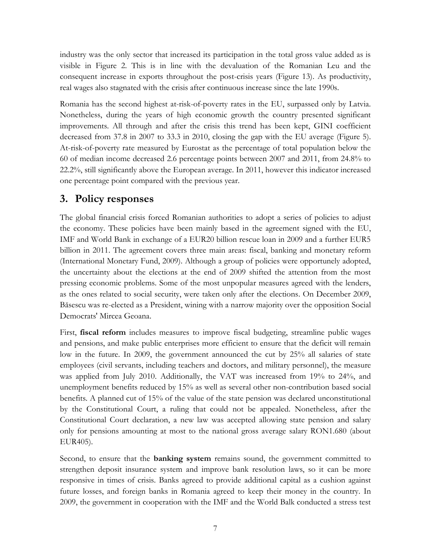industry was the only sector that increased its participation in the total gross value added as is visible in Figure 2. This is in line with the devaluation of the Romanian Leu and the consequent increase in exports throughout the post-crisis years (Figure 13). As productivity, real wages also stagnated with the crisis after continuous increase since the late 1990s.

Romania has the second highest at-risk-of-poverty rates in the EU, surpassed only by Latvia. Nonetheless, during the years of high economic growth the country presented significant improvements. All through and after the crisis this trend has been kept, GINI coefficient decreased from 37.8 in 2007 to 33.3 in 2010, closing the gap with the EU average (Figure 5). At-risk-of-poverty rate measured by Eurostat as the percentage of total population below the 60 of median income decreased 2.6 percentage points between 2007 and 2011, from 24.8% to 22.2%, still significantly above the European average. In 2011, however this indicator increased one percentage point compared with the previous year.

### **3. Policy responses**

The global financial crisis forced Romanian authorities to adopt a series of policies to adjust the economy. These policies have been mainly based in the agreement signed with the EU, IMF and World Bank in exchange of a EUR20 billion rescue loan in 2009 and a further EUR5 billion in 2011. The agreement covers three main areas: fiscal, banking and monetary reform (International Monetary Fund, 2009). Although a group of policies were opportunely adopted, the uncertainty about the elections at the end of 2009 shifted the attention from the most pressing economic problems. Some of the most unpopular measures agreed with the lenders, as the ones related to social security, were taken only after the elections. On December 2009, Băsescu was re-elected as a President, wining with a narrow majority over the opposition Social Democrats' Mircea Geoana.

First, **fiscal reform** includes measures to improve fiscal budgeting, streamline public wages and pensions, and make public enterprises more efficient to ensure that the deficit will remain low in the future. In 2009, the government announced the cut by 25% all salaries of state employees (civil servants, including teachers and doctors, and military personnel), the measure was applied from July 2010. Additionally, the VAT was increased from 19% to 24%, and unemployment benefits reduced by 15% as well as several other non-contribution based social benefits. A planned cut of 15% of the value of the state pension was declared unconstitutional by the Constitutional Court, a ruling that could not be appealed. Nonetheless, after the Constitutional Court declaration, a new law was accepted allowing state pension and salary only for pensions amounting at most to the national gross average salary RON1.680 (about EUR405).

Second, to ensure that the **banking system** remains sound, the government committed to strengthen deposit insurance system and improve bank resolution laws, so it can be more responsive in times of crisis. Banks agreed to provide additional capital as a cushion against future losses, and foreign banks in Romania agreed to keep their money in the country. In 2009, the government in cooperation with the IMF and the World Balk conducted a stress test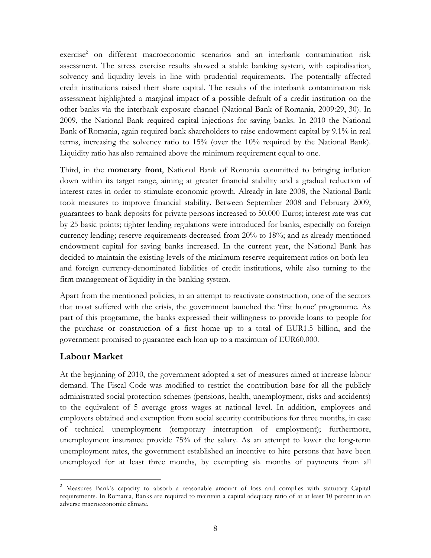exercise<sup>2</sup> on different macroeconomic scenarios and an interbank contamination risk assessment. The stress exercise results showed a stable banking system, with capitalisation, solvency and liquidity levels in line with prudential requirements. The potentially affected credit institutions raised their share capital. The results of the interbank contamination risk assessment highlighted a marginal impact of a possible default of a credit institution on the other banks via the interbank exposure channel (National Bank of Romania, 2009:29, 30). In 2009, the National Bank required capital injections for saving banks. In 2010 the National Bank of Romania, again required bank shareholders to raise endowment capital by 9.1% in real terms, increasing the solvency ratio to 15% (over the 10% required by the National Bank). Liquidity ratio has also remained above the minimum requirement equal to one.

Third, in the **monetary front**, National Bank of Romania committed to bringing inflation down within its target range, aiming at greater financial stability and a gradual reduction of interest rates in order to stimulate economic growth. Already in late 2008, the National Bank took measures to improve financial stability. Between September 2008 and February 2009, guarantees to bank deposits for private persons increased to 50.000 Euros; interest rate was cut by 25 basic points; tighter lending regulations were introduced for banks, especially on foreign currency lending; reserve requirements decreased from 20% to 18%; and as already mentioned endowment capital for saving banks increased. In the current year, the National Bank has decided to maintain the existing levels of the minimum reserve requirement ratios on both leuand foreign currency-denominated liabilities of credit institutions, while also turning to the firm management of liquidity in the banking system.

Apart from the mentioned policies, in an attempt to reactivate construction, one of the sectors that most suffered with the crisis, the government launched the 'first home' programme. As part of this programme, the banks expressed their willingness to provide loans to people for the purchase or construction of a first home up to a total of EUR1.5 billion, and the government promised to guarantee each loan up to a maximum of EUR60.000.

#### **Labour Market**

At the beginning of 2010, the government adopted a set of measures aimed at increase labour demand. The Fiscal Code was modified to restrict the contribution base for all the publicly administrated social protection schemes (pensions, health, unemployment, risks and accidents) to the equivalent of 5 average gross wages at national level. In addition, employees and employers obtained and exemption from social security contributions for three months, in case of technical unemployment (temporary interruption of employment); furthermore, unemployment insurance provide 75% of the salary. As an attempt to lower the long-term unemployment rates, the government established an incentive to hire persons that have been unemployed for at least three months, by exempting six months of payments from all

 $\overline{a}$ <sup>2</sup> Measures Bank's capacity to absorb a reasonable amount of loss and complies with statutory Capital requirements. In Romania, Banks are required to maintain a capital adequacy ratio of at at least 10 percent in an adverse macroeconomic climate.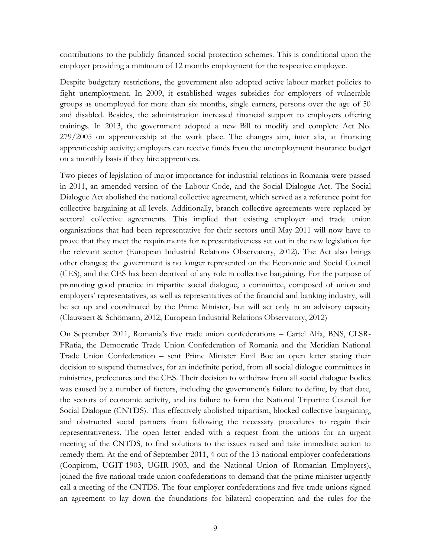contributions to the publicly financed social protection schemes. This is conditional upon the employer providing a minimum of 12 months employment for the respective employee.

Despite budgetary restrictions, the government also adopted active labour market policies to fight unemployment. In 2009, it established wages subsidies for employers of vulnerable groups as unemployed for more than six months, single earners, persons over the age of 50 and disabled. Besides, the administration increased financial support to employers offering trainings. In 2013, the government adopted a new Bill to modify and complete Act No. 279/2005 on apprenticeship at the work place. The changes aim, inter alia, at financing apprenticeship activity; employers can receive funds from the unemployment insurance budget on a monthly basis if they hire apprentices.

Two pieces of legislation of major importance for industrial relations in Romania were passed in 2011, an amended version of the Labour Code, and the Social Dialogue Act. The Social Dialogue Act abolished the national collective agreement, which served as a reference point for collective bargaining at all levels. Additionally, branch collective agreements were replaced by sectoral collective agreements. This implied that existing employer and trade union organisations that had been representative for their sectors until May 2011 will now have to prove that they meet the requirements for representativeness set out in the new legislation for the relevant sector (European Industrial Relations Observatory, 2012). The Act also brings other changes; the government is no longer represented on the Economic and Social Council (CES), and the CES has been deprived of any role in collective bargaining. For the purpose of promoting good practice in tripartite social dialogue, a committee, composed of union and employers' representatives, as well as representatives of the financial and banking industry, will be set up and coordinated by the Prime Minister, but will act only in an advisory capacity (Clauwaert & Schömann, 2012; European Industrial Relations Observatory, 2012)

On September 2011, Romania's five trade union confederations – Cartel Alfa, BNS, CLSR-FRatia, the Democratic Trade Union Confederation of Romania and the Meridian National Trade Union Confederation – sent Prime Minister Emil Boc an open letter stating their decision to suspend themselves, for an indefinite period, from all social dialogue committees in ministries, prefectures and the CES. Their decision to withdraw from all social dialogue bodies was caused by a number of factors, including the government's failure to define, by that date, the sectors of economic activity, and its failure to form the National Tripartite Council for Social Dialogue (CNTDS). This effectively abolished tripartism, blocked collective bargaining, and obstructed social partners from following the necessary procedures to regain their representativeness. The open letter ended with a request from the unions for an urgent meeting of the CNTDS, to find solutions to the issues raised and take immediate action to remedy them. At the end of September 2011, 4 out of the 13 national employer confederations (Conpirom, UGIT-1903, UGIR-1903, and the National Union of Romanian Employers), joined the five national trade union confederations to demand that the prime minister urgently call a meeting of the CNTDS. The four employer confederations and five trade unions signed an agreement to lay down the foundations for bilateral cooperation and the rules for the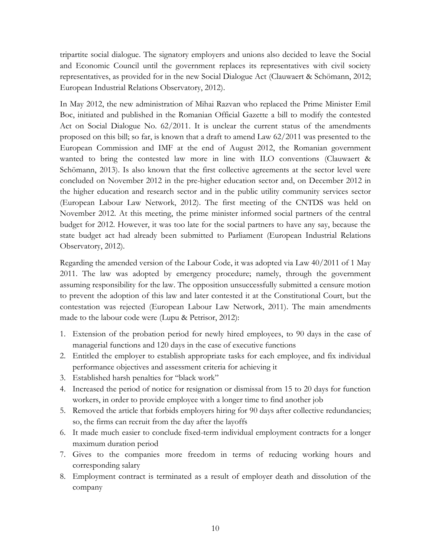tripartite social dialogue. The signatory employers and unions also decided to leave the Social and Economic Council until the government replaces its representatives with civil society representatives, as provided for in the new Social Dialogue Act (Clauwaert & Schömann, 2012; European Industrial Relations Observatory, 2012).

In May 2012, the new administration of Mihai Razvan who replaced the Prime Minister Emil Boc, initiated and published in the Romanian Official Gazette a bill to modify the contested Act on Social Dialogue No. 62/2011. It is unclear the current status of the amendments proposed on this bill; so far, is known that a draft to amend Law 62/2011 was presented to the European Commission and IMF at the end of August 2012, the Romanian government wanted to bring the contested law more in line with ILO conventions (Clauwaert & Schömann, 2013). Is also known that the first collective agreements at the sector level were concluded on November 2012 in the pre-higher education sector and, on December 2012 in the higher education and research sector and in the public utility community services sector (European Labour Law Network, 2012). The first meeting of the CNTDS was held on November 2012. At this meeting, the prime minister informed social partners of the central budget for 2012. However, it was too late for the social partners to have any say, because the state budget act had already been submitted to Parliament (European Industrial Relations Observatory, 2012).

Regarding the amended version of the Labour Code, it was adopted via Law 40/2011 of 1 May 2011. The law was adopted by emergency procedure; namely, through the government assuming responsibility for the law. The opposition unsuccessfully submitted a censure motion to prevent the adoption of this law and later contested it at the Constitutional Court, but the contestation was rejected (European Labour Law Network, 2011). The main amendments made to the labour code were (Lupu & Petrisor, 2012):

- 1. Extension of the probation period for newly hired employees, to 90 days in the case of managerial functions and 120 days in the case of executive functions
- 2. Entitled the employer to establish appropriate tasks for each employee, and fix individual performance objectives and assessment criteria for achieving it
- 3. Established harsh penalties for "black work"
- 4. Increased the period of notice for resignation or dismissal from 15 to 20 days for function workers, in order to provide employee with a longer time to find another job
- 5. Removed the article that forbids employers hiring for 90 days after collective redundancies; so, the firms can recruit from the day after the layoffs
- 6. It made much easier to conclude fixed-term individual employment contracts for a longer maximum duration period
- 7. Gives to the companies more freedom in terms of reducing working hours and corresponding salary
- 8. Employment contract is terminated as a result of employer death and dissolution of the company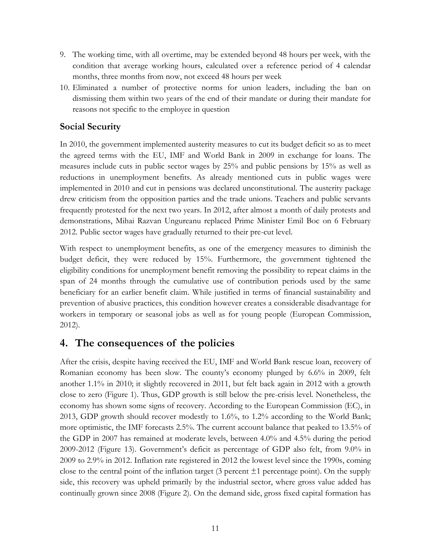- 9. The working time, with all overtime, may be extended beyond 48 hours per week, with the condition that average working hours, calculated over a reference period of 4 calendar months, three months from now, not exceed 48 hours per week
- 10. Eliminated a number of protective norms for union leaders, including the ban on dismissing them within two years of the end of their mandate or during their mandate for reasons not specific to the employee in question

#### **Social Security**

In 2010, the government implemented austerity measures to cut its budget deficit so as to meet the agreed terms with the EU, IMF and World Bank in 2009 in exchange for loans. The measures include cuts in public sector wages by 25% and public pensions by 15% as well as reductions in unemployment benefits. As already mentioned cuts in public wages were implemented in 2010 and cut in pensions was declared unconstitutional. The austerity package drew criticism from the opposition parties and the trade unions. Teachers and public servants frequently protested for the next two years. In 2012, after almost a month of daily protests and demonstrations, Mihai Razvan Ungureanu replaced Prime Minister Emil Boc on 6 February 2012. Public sector wages have gradually returned to their pre-cut level.

With respect to unemployment benefits, as one of the emergency measures to diminish the budget deficit, they were reduced by 15%. Furthermore, the government tightened the eligibility conditions for unemployment benefit removing the possibility to repeat claims in the span of 24 months through the cumulative use of contribution periods used by the same beneficiary for an earlier benefit claim. While justified in terms of financial sustainability and prevention of abusive practices, this condition however creates a considerable disadvantage for workers in temporary or seasonal jobs as well as for young people (European Commission, 2012).

### **4. The consequences of the policies**

After the crisis, despite having received the EU, IMF and World Bank rescue loan, recovery of Romanian economy has been slow. The county's economy plunged by 6.6% in 2009, felt another 1.1% in 2010; it slightly recovered in 2011, but felt back again in 2012 with a growth close to zero (Figure 1). Thus, GDP growth is still below the pre-crisis level. Nonetheless, the economy has shown some signs of recovery. According to the European Commission (EC), in 2013, GDP growth should recover modestly to 1.6%, to 1.2% according to the World Bank; more optimistic, the IMF forecasts 2.5%. The current account balance that peaked to 13.5% of the GDP in 2007 has remained at moderate levels, between 4.0% and 4.5% during the period 2009-2012 (Figure 13). Government's deficit as percentage of GDP also felt, from 9.0% in 2009 to 2.9% in 2012. Inflation rate registered in 2012 the lowest level since the 1990s, coming close to the central point of the inflation target (3 percent  $\pm 1$  percentage point). On the supply side, this recovery was upheld primarily by the industrial sector, where gross value added has continually grown since 2008 (Figure 2). On the demand side, gross fixed capital formation has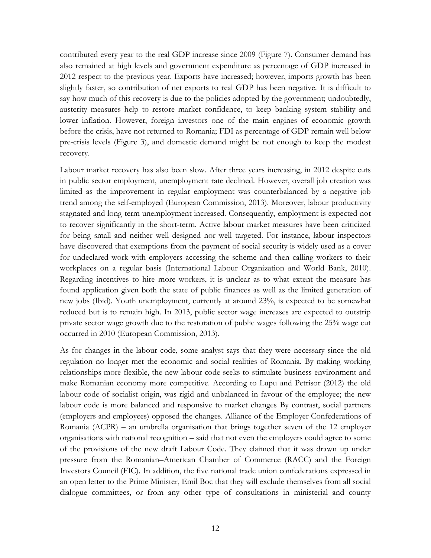contributed every year to the real GDP increase since 2009 (Figure 7). Consumer demand has also remained at high levels and government expenditure as percentage of GDP increased in 2012 respect to the previous year. Exports have increased; however, imports growth has been slightly faster, so contribution of net exports to real GDP has been negative. It is difficult to say how much of this recovery is due to the policies adopted by the government; undoubtedly, austerity measures help to restore market confidence, to keep banking system stability and lower inflation. However, foreign investors one of the main engines of economic growth before the crisis, have not returned to Romania; FDI as percentage of GDP remain well below pre-crisis levels (Figure 3), and domestic demand might be not enough to keep the modest recovery.

Labour market recovery has also been slow. After three years increasing, in 2012 despite cuts in public sector employment, unemployment rate declined. However, overall job creation was limited as the improvement in regular employment was counterbalanced by a negative job trend among the self-employed (European Commission, 2013). Moreover, labour productivity stagnated and long-term unemployment increased. Consequently, employment is expected not to recover significantly in the short-term. Active labour market measures have been criticized for being small and neither well designed nor well targeted. For instance, labour inspectors have discovered that exemptions from the payment of social security is widely used as a cover for undeclared work with employers accessing the scheme and then calling workers to their workplaces on a regular basis (International Labour Organization and World Bank, 2010). Regarding incentives to hire more workers, it is unclear as to what extent the measure has found application given both the state of public finances as well as the limited generation of new jobs (Ibid). Youth unemployment, currently at around 23%, is expected to be somewhat reduced but is to remain high. In 2013, public sector wage increases are expected to outstrip private sector wage growth due to the restoration of public wages following the 25% wage cut occurred in 2010 (European Commission, 2013).

As for changes in the labour code, some analyst says that they were necessary since the old regulation no longer met the economic and social realities of Romania. By making working relationships more flexible, the new labour code seeks to stimulate business environment and make Romanian economy more competitive. According to Lupu and Petrisor (2012) the old labour code of socialist origin, was rigid and unbalanced in favour of the employee; the new labour code is more balanced and responsive to market changes By contrast, social partners (employers and employees) opposed the changes. Alliance of the Employer Confederations of Romania (ACPR) – an umbrella organisation that brings together seven of the 12 employer organisations with national recognition – said that not even the employers could agree to some of the provisions of the new draft Labour Code. They claimed that it was drawn up under pressure from the Romanian–American Chamber of Commerce (RACC) and the Foreign Investors Council (FIC). In addition, the five national trade union confederations expressed in an open letter to the Prime Minister, Emil Boc that they will exclude themselves from all social dialogue committees, or from any other type of consultations in ministerial and county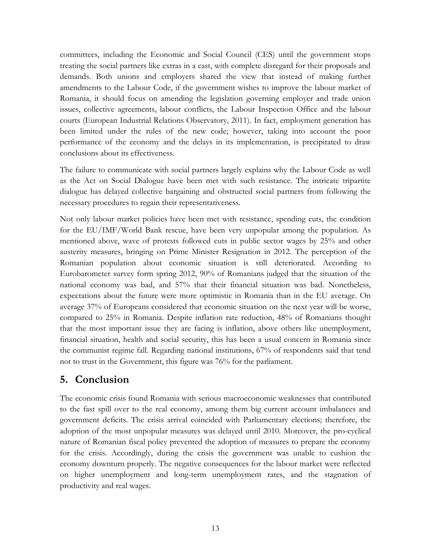committees, including the Economic and Social Council (CES) until the government stops treating the social partners like extras in a cast, with complete disregard for their proposals and demands. Both unions and employers shared the view that instead of making further amendments to the Labour Code, if the government wishes to improve the labour market of Romania, it should focus on amending the legislation governing employer and trade union issues, collective agreements, labour conflicts, the Labour Inspection Office and the labour courts (European Industrial Relations Observatory, 2011). In fact, employment generation has been limited under the rules of the new code; however, taking into account the poor performance of the economy and the delays in its implementation, is precipitated to draw conclusions about its effectiveness.

The failure to communicate with social partners largely explains why the Labour Code as well as the Act on Social Dialogue have been met with such resistance. The intricate tripartite dialogue has delayed collective bargaining and obstructed social partners from following the necessary procedures to regain their representativeness.

Not only labour market policies have been met with resistance, spending cuts, the condition for the EU/IMF/World Bank rescue, have been very unpopular among the population. As mentioned above, wave of protests followed cuts in public sector wages by 25% and other austerity measures, bringing on Prime Minister Resignation in 2012. The perception of the Romanian population about economic situation is still deteriorated. According to Eurobarometer survey form spring 2012, 90% of Romanians judged that the situation of the national economy was bad, and 57% that their financial situation was bad. Nonetheless, expectations about the future were more optimistic in Romania than in the EU average. On average 37% of Europeans considered that economic situation on the next year will be worse, compared to 25% in Romania. Despite inflation rate reduction, 48% of Romanians thought that the most important issue they are facing is inflation, above others like unemployment, financial situation, health and social security, this has been a usual concern in Romania since the communist regime fall. Regarding national institutions, 67% of respondents said that tend not to trust in the Government, this figure was 76% for the parliament.

#### **5. Conclusion**

The economic crisis found Romania with serious macroeconomic weaknesses that contributed to the fast spill over to the real economy, among them big current account imbalances and government deficits. The crisis arrival coincided with Parliamentary elections; therefore, the adoption of the most unpopular measures was delayed until 2010. Moreover, the pro-cyclical nature of Romanian fiscal policy prevented the adoption of measures to prepare the economy for the crisis. Accordingly, during the crisis the government was unable to cushion the economy downturn properly. The negative consequences for the labour market were reflected on higher unemployment and long-term unemployment rates, and the stagnation of productivity and real wages.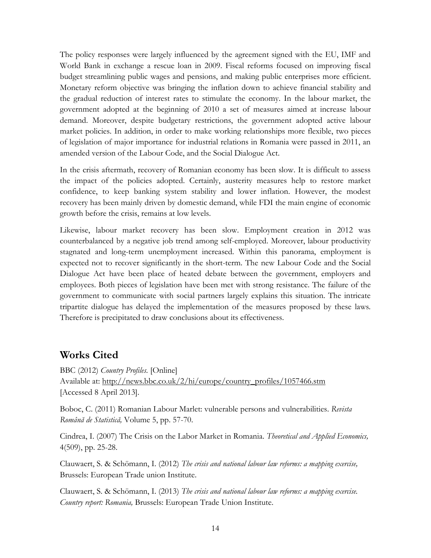The policy responses were largely influenced by the agreement signed with the EU, IMF and World Bank in exchange a rescue loan in 2009. Fiscal reforms focused on improving fiscal budget streamlining public wages and pensions, and making public enterprises more efficient. Monetary reform objective was bringing the inflation down to achieve financial stability and the gradual reduction of interest rates to stimulate the economy. In the labour market, the government adopted at the beginning of 2010 a set of measures aimed at increase labour demand. Moreover, despite budgetary restrictions, the government adopted active labour market policies. In addition, in order to make working relationships more flexible, two pieces of legislation of major importance for industrial relations in Romania were passed in 2011, an amended version of the Labour Code, and the Social Dialogue Act.

In the crisis aftermath, recovery of Romanian economy has been slow. It is difficult to assess the impact of the policies adopted. Certainly, austerity measures help to restore market confidence, to keep banking system stability and lower inflation. However, the modest recovery has been mainly driven by domestic demand, while FDI the main engine of economic growth before the crisis, remains at low levels.

Likewise, labour market recovery has been slow. Employment creation in 2012 was counterbalanced by a negative job trend among self-employed. Moreover, labour productivity stagnated and long-term unemployment increased. Within this panorama, employment is expected not to recover significantly in the short-term. The new Labour Code and the Social Dialogue Act have been place of heated debate between the government, employers and employees. Both pieces of legislation have been met with strong resistance. The failure of the government to communicate with social partners largely explains this situation. The intricate tripartite dialogue has delayed the implementation of the measures proposed by these laws. Therefore is precipitated to draw conclusions about its effectiveness.

#### **Works Cited**

BBC (2012) *Country Profiles.* [Online] Available at: http://news.bbc.co.uk/2/hi/europe/country\_profiles/1057466.stm [Accessed 8 April 2013].

Boboc, C. (2011) Romanian Labour Marlet: vulnerable persons and vulnerabilities. *Revista Română de Statistică,* Volume 5, pp. 57-70.

Cindrea, I. (2007) The Crisis on the Labor Market in Romania. *Theoretical and Applied Economics,*  4(509), pp. 25-28.

Clauwaert, S. & Schömann, I. (2012) *The crisis and national labour law reforms: a mapping exercise,*  Brussels: European Trade union Institute.

Clauwaert, S. & Schömann, I. (2013) *The crisis and national labour law reforms: a mapping exercise. Country report: Romania,* Brussels: European Trade Union Institute.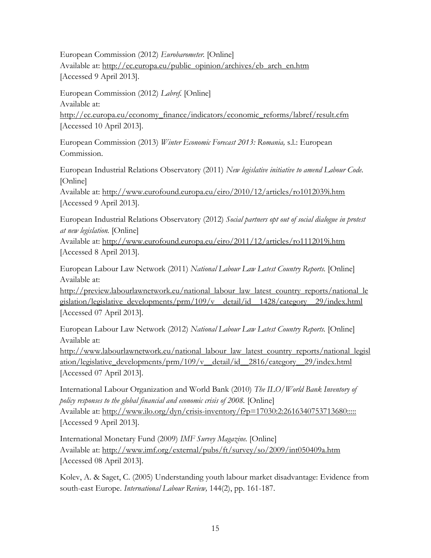European Commission (2012) *Eurobarometer.* [Online] Available at: http://ec.europa.eu/public\_opinion/archives/eb\_arch\_en.htm [Accessed 9 April 2013].

European Commission (2012) *Labref.* [Online] Available at: http://ec.europa.eu/economy\_finance/indicators/economic\_reforms/labref/result.cfm [Accessed 10 April 2013].

European Commission (2013) *Winter Economic Forecast 2013: Romania,* s.l.: European Commission.

European Industrial Relations Observatory (2011) *New legislative initiative to amend Labour Code.*  [Online]

Available at: http://www.eurofound.europa.eu/eiro/2010/12/articles/ro1012039i.htm [Accessed 9 April 2013].

European Industrial Relations Observatory (2012) *Social partners opt out of social dialogue in protest at new legislation.* [Online]

Available at: http://www.eurofound.europa.eu/eiro/2011/12/articles/ro1112019i.htm [Accessed 8 April 2013].

European Labour Law Network (2011) *National Labour Law Latest Country Reports.* [Online] Available at:

http://preview.labourlawnetwork.eu/national\_labour\_law\_latest\_country\_reports/national\_le gislation/legislative\_developments/prm/109/v\_\_detail/id\_\_1428/category\_\_29/index.html [Accessed 07 April 2013].

European Labour Law Network (2012) *National Labour Law Latest Country Reports.* [Online] Available at:

http://www.labourlawnetwork.eu/national\_labour\_law\_latest\_country\_reports/national\_legisl ation/legislative\_developments/prm/109/v\_\_detail/id\_\_2816/category\_\_29/index.html [Accessed 07 April 2013].

International Labour Organization and World Bank (2010) *The ILO/World Bank Inventory of policy responses to the global financial and economic crisis of 2008.* [Online] Available at: http://www.ilo.org/dyn/crisis-inventory/f?p=17030:2:2616340753713680::::: [Accessed 9 April 2013].

International Monetary Fund (2009) *IMF Survey Magazine.* [Online] Available at: http://www.imf.org/external/pubs/ft/survey/so/2009/int050409a.htm [Accessed 08 April 2013].

Kolev, A. & Saget, C. (2005) Understanding youth labour market disadvantage: Evidence from south-east Europe. *International Labour Review,* 144(2), pp. 161-187.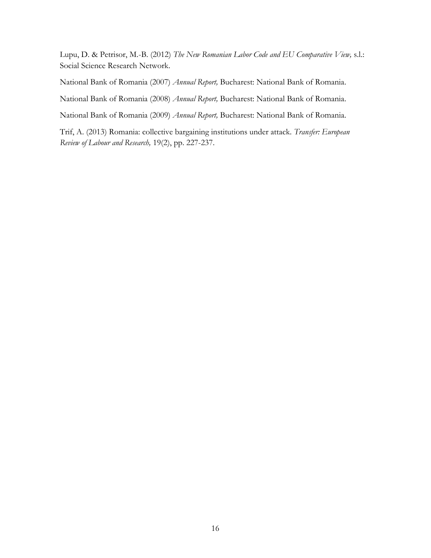Lupu, D. & Petrisor, M.-B. (2012) *The New Romanian Labor Code and EU Comparative View,* s.l.: Social Science Research Network.

National Bank of Romania (2007) *Annual Report,* Bucharest: National Bank of Romania.

National Bank of Romania (2008) *Annual Report,* Bucharest: National Bank of Romania.

National Bank of Romania (2009) *Annual Report,* Bucharest: National Bank of Romania.

Trif, A. (2013) Romania: collective bargaining institutions under attack. *Transfer: European Review of Labour and Research,* 19(2), pp. 227-237.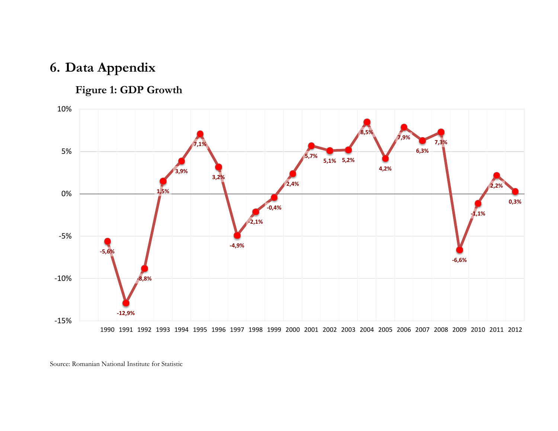# **6. Data Appendix**

# **Figure 1: GDP Growth**



Source: Romanian National Institute for Statistic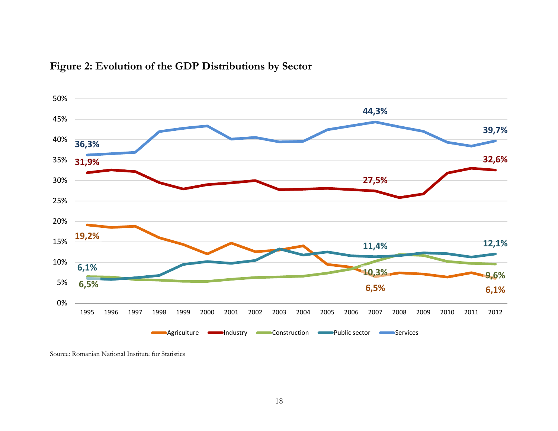

### **Figure 2: Evolution of the GDP Distributions by Sector**

Source: Romanian National Institute for Statistics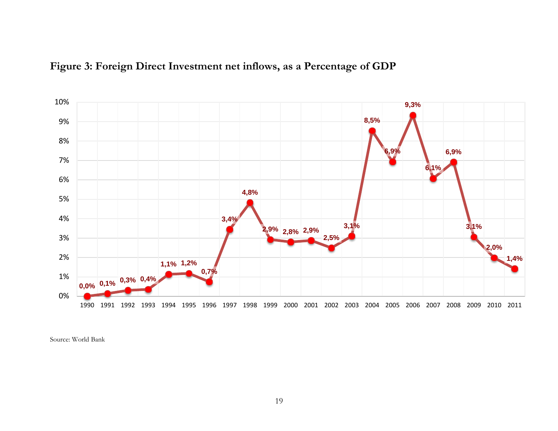



Source: World Bank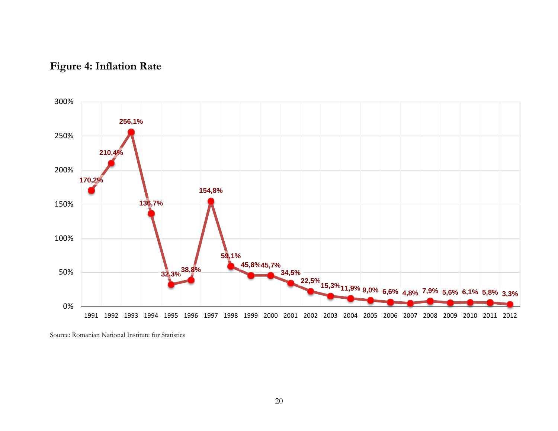



Source: Romanian National Institute for Statistics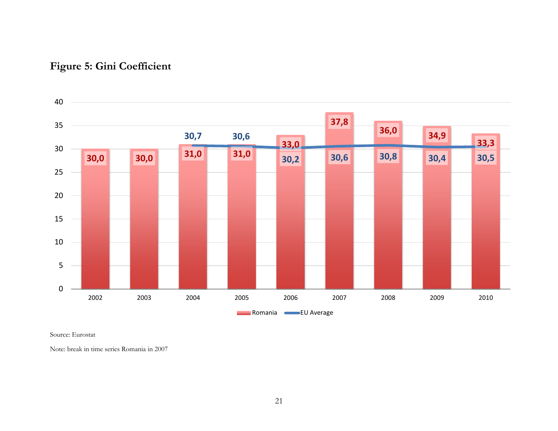

# **Figure 5: Gini Coefficient**

Source: Eurostat

Note: break in time series Romania in 2007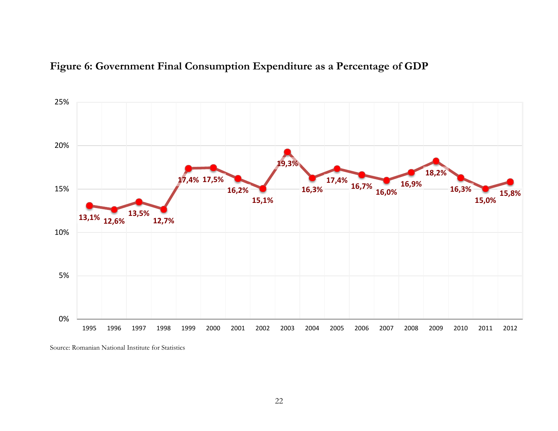



Source: Romanian National Institute for Statistics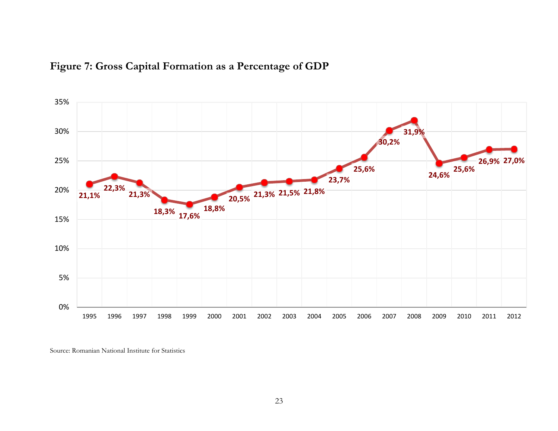

### **Figure 7: Gross Capital Formation as a Percentage of GDP**

Source: Romanian National Institute for Statistics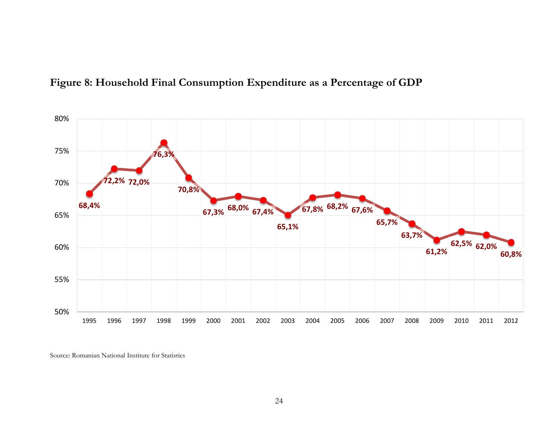

### **Figure 8: Household Final Consumption Expenditure as a Percentage of GDP**

Source: Romanian National Institute for Statistics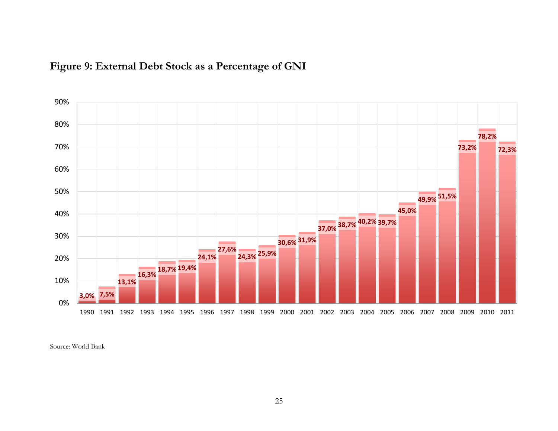

# **Figure 9: External Debt Stock as a Percentage of GNI**

Source: World Bank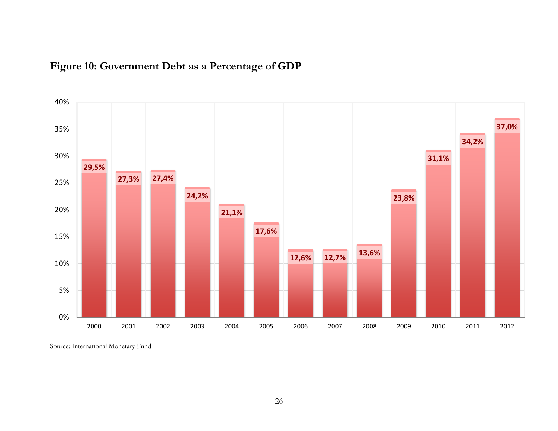

# **Figure 10: Government Debt as a Percentage of GDP**

Source: International Monetary Fund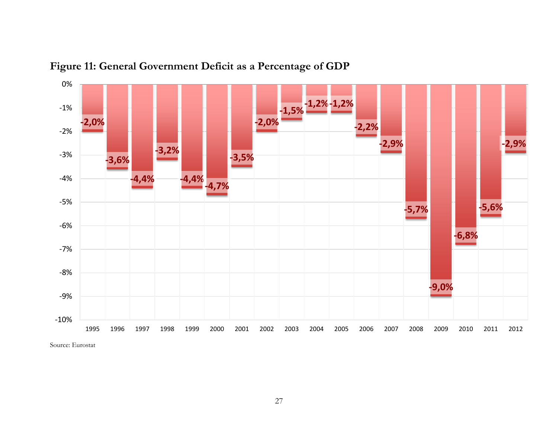

**Figure 11: General Government Deficit as a Percentage of GDP**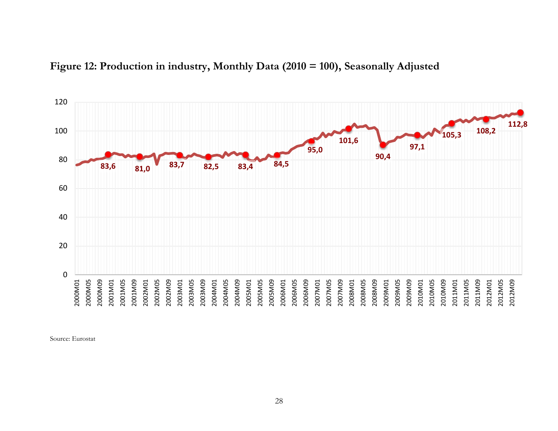

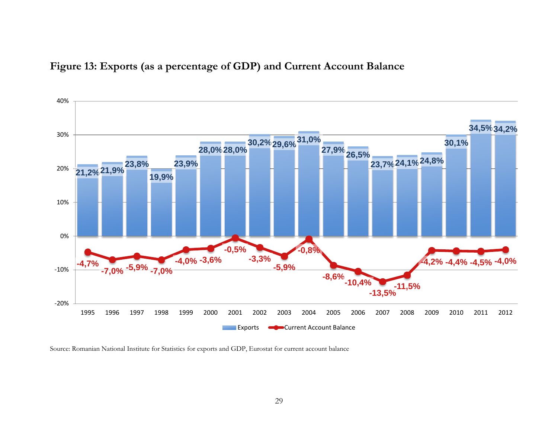



Source: Romanian National Institute for Statistics for exports and GDP, Eurostat for current account balance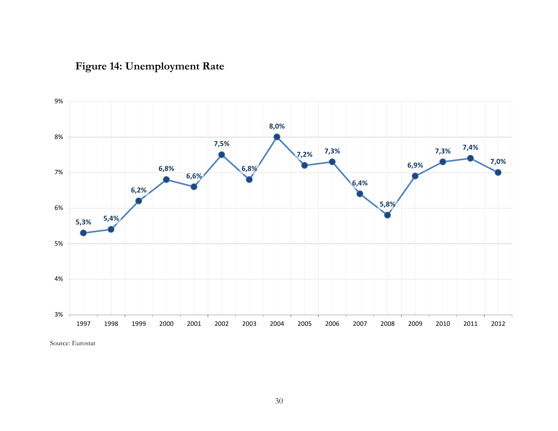

# **Figure 14: Unemployment Rate**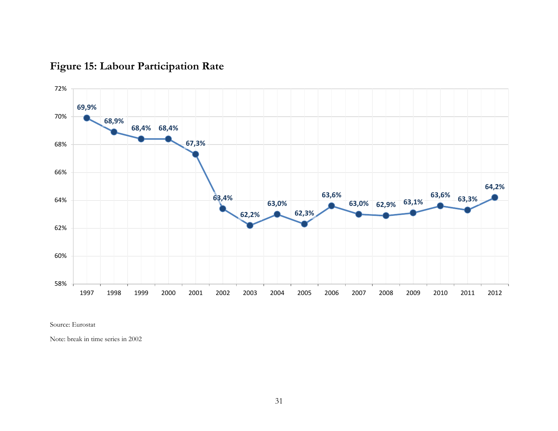

# **Figure 15: Labour Participation Rate**

Source: Eurostat

Note: break in time series in 2002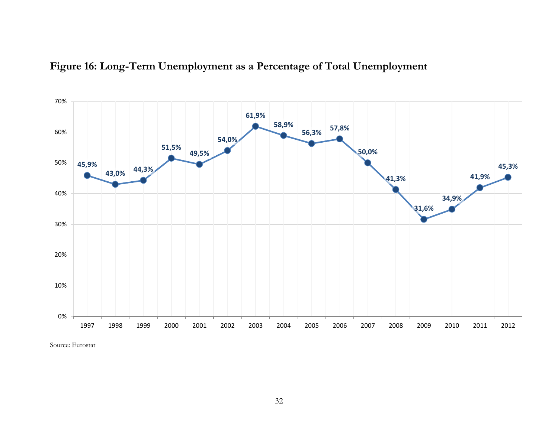

### **Figure 16: Long-Term Unemployment as a Percentage of Total Unemployment**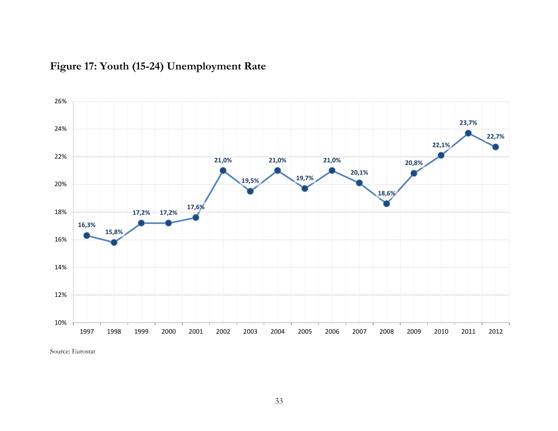

# **Figure 17: Youth (15-24) Unemployment Rate**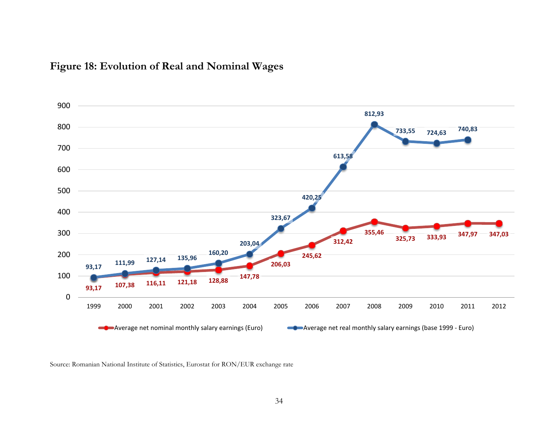

### **Figure 18: Evolution of Real and Nominal Wages**

Source: Romanian National Institute of Statistics, Eurostat for RON/EUR exchange rate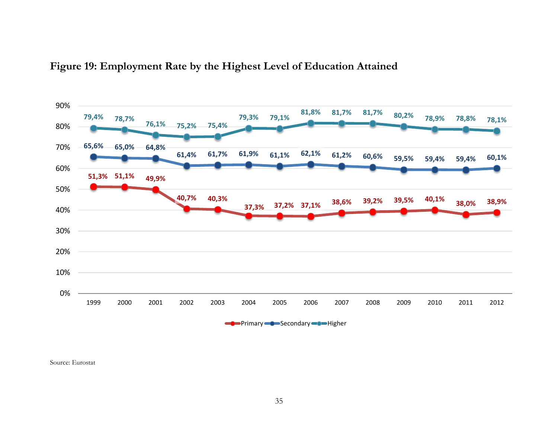

### **Figure 19: Employment Rate by the Highest Level of Education Attained**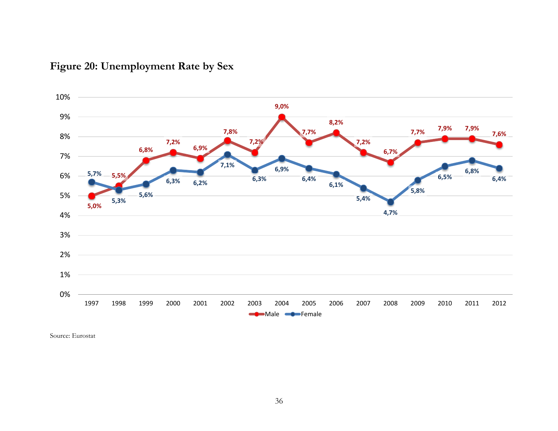

# **Figure 20: Unemployment Rate by Sex**